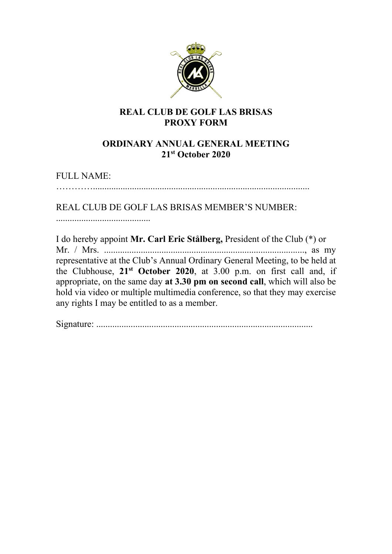

## **REAL CLUB DE GOLF LAS BRISAS PROXY FORM**

## **ORDINARY ANNUAL GENERAL MEETING 21st October 2020**

FULL NAME:

…………..............................................................................................

## REAL CLUB DE GOLF LAS BRISAS MEMBER'S NUMBER:

.........................................

I do hereby appoint **Mr. Carl Eric Stålberg,** President of the Club (\*) or Mr. / Mrs. ......................................................................................., as my representative at the Club's Annual Ordinary General Meeting, to be held at the Clubhouse, **21st October 2020**, at 3.00 p.m. on first call and, if appropriate, on the same day **at 3.30 pm on second call**, which will also be hold via video or multiple multimedia conference, so that they may exercise any rights I may be entitled to as a member.

Signature: ..............................................................................................